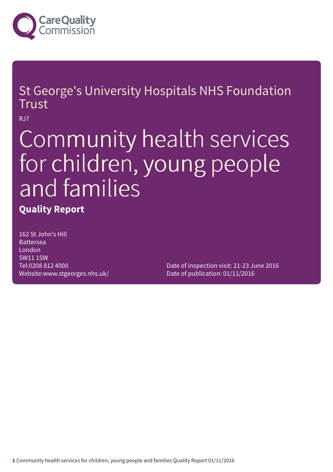

St George's University Hospitals NHS Foundation Trust

RJ7

# Community health services for children, young people and families

### **Quality Report**

162 St John's Hill Battersea London SW11 1SW Tel:0208 812 4000 Website:www.stgeorges.nhs.uk/

Date of inspection visit: 21-23 June 2016 Date of publication: 01/11/2016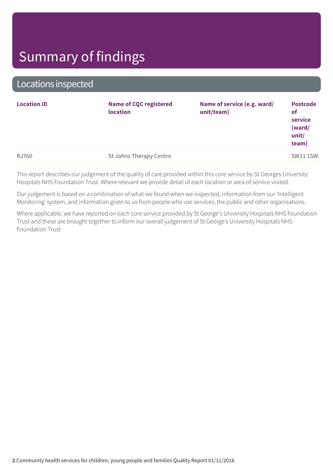Locations inspected

|                                         | <b>Location ID</b> | <b>Name of CQC registered</b><br>location | Name of service (e.g. ward/<br>unit/team) | <b>Postcode</b><br>of<br>service<br>(ward/<br>unit/<br>team) |
|-----------------------------------------|--------------------|-------------------------------------------|-------------------------------------------|--------------------------------------------------------------|
| St Johns Therapy Centre<br><b>RJ760</b> |                    |                                           |                                           | <b>SW11 1SW</b>                                              |

This report describes our judgement of the quality of care provided within this core service by St Georges University Hospitals NHS Foundation Trust. Where relevant we provide detail of each location or area of service visited.

Our judgement is based on a combination of what we found when we inspected, information from our 'Intelligent Monitoring' system, and information given to us from people who use services, the public and other organisations.

Where applicable, we have reported on each core service provided by St George's University Hospitals NHS Foundation Trust and these are brought together to inform our overall judgement of St George's University Hospitals NHS Foundation Trust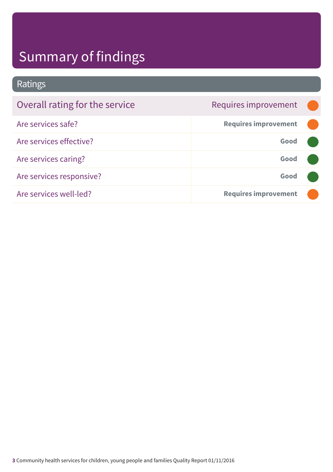Ratings

| Overall rating for the service | Requires improvement        |  |
|--------------------------------|-----------------------------|--|
| Are services safe?             | <b>Requires improvement</b> |  |
| Are services effective?        | Good                        |  |
| Are services caring?           | Good                        |  |
| Are services responsive?       | Good                        |  |
| Are services well-led?         | <b>Requires improvement</b> |  |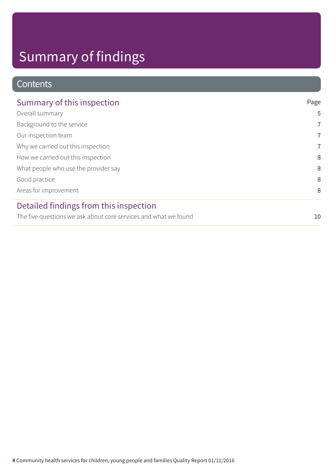### **Contents**

| Summary of this inspection                                      | Page           |
|-----------------------------------------------------------------|----------------|
| Overall summary                                                 | 5              |
| Background to the service                                       | $\overline{7}$ |
| Our inspection team                                             | $\overline{7}$ |
| Why we carried out this inspection                              | $\overline{7}$ |
| How we carried out this inspection                              | 8              |
| What people who use the provider say                            | 8              |
| Good practice                                                   | 8              |
| Areas for improvement                                           | 8              |
| Detailed findings from this inspection                          |                |
| The five questions we ask about core services and what we found | 10             |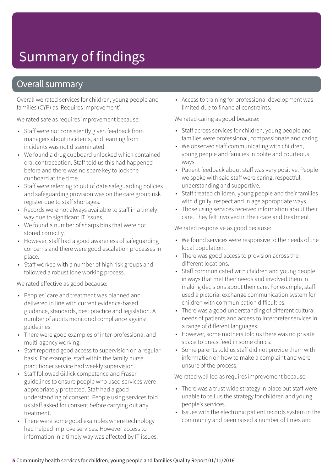### Overall summary

Overall we rated services for children, young people and families (CYP) as 'Requires Improvement'.

We rated safe as requires improvement because:

- Staff were not consistently given feedback from managers about incidents, and learning from incidents was not disseminated.
- We found a drug cupboard unlocked which contained oral contraception. Staff told us this had happened before and there was no spare key to lock the cupboard at the time.
- Staff were referring to out of date safeguarding policies and safeguarding provision was on the care group risk register due to staff shortages.
- Records were not always available to staff in a timely way due to significant IT issues.
- We found a number of sharps bins that were not stored correctly.
- However, staff had a good awareness of safeguarding concerns and there were good escalation processes in place.
- Staff worked with a number of high risk groups and followed a robust lone working process.

We rated effective as good because:

- Peoples' care and treatment was planned and delivered in line with current evidence-based guidance, standards, best practice and legislation. A number of audits monitored compliance against guidelines.
- There were good examples of inter-professional and multi-agency working.
- Staff reported good access to supervision on a regular basis. For example, staff within the family nurse practitioner service had weekly supervision.
- Staff followed Gillick competence and Fraser guidelines to ensure people who used services were appropriately protected. Staff had a good understanding of consent. People using services told us staff asked for consent before carrying out any treatment.
- There were some good examples where technology had helped improve services. However access to information in a timely way was affected by IT issues.

• Access to training for professional development was limited due to financial constraints.

We rated caring as good because:

- Staff across services for children, young people and families were professional, compassionate and caring.
- We observed staff communicating with children, young people and families in polite and courteous ways.
- Patient feedback about staff was very positive. People we spoke with said staff were caring, respectful, understanding and supportive.
- Staff treated children, young people and their families with dignity, respect and in age appropriate ways.
- Those using services received information about their care. They felt involved in their care and treatment.

We rated responsive as good because:

- We found services were responsive to the needs of the local population.
- There was good access to provision across the different locations.
- Staff communicated with children and young people in ways that met their needs and involved them in making decisions about their care. For example, staff used a pictorial exchange communication system for children with communication difficulties.
- There was a good understanding of different cultural needs of patients and access to interpreter services in a range of different languages.
- However, some mothers told us there was no private space to breastfeed in some clinics.
- Some parents told us staff did not provide them with information on how to make a complaint and were unsure of the process.

We rated well led as requires improvement because:

- There was a trust wide strategy in place but staff were unable to tell us the strategy for children and young people's services.
- Issues with the electronic patient records system in the community and been raised a number of times and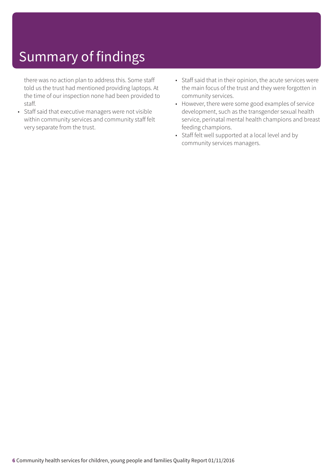there was no action plan to address this. Some staff told us the trust had mentioned providing laptops. At the time of our inspection none had been provided to staff.

- Staff said that executive managers were not visible within community services and community staff felt very separate from the trust.
- Staff said that in their opinion, the acute services were the main focus of the trust and they were forgotten in community services.
- However, there were some good examples of service development, such as the transgender sexual health service, perinatal mental health champions and breast feeding champions.
- Staff felt well supported at a local level and by community services managers.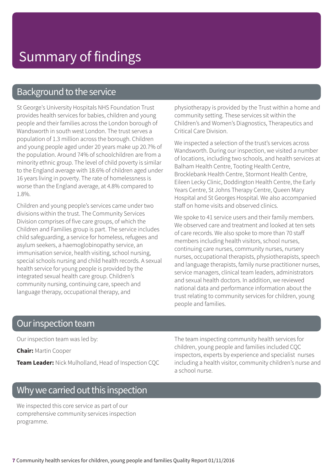### Background to the service

St George's University Hospitals NHS Foundation Trust provides health services for babies, children and young people and their families across the London borough of Wandsworth in south west London. The trust serves a population of 1.3 million across the borough. Children and young people aged under 20 years make up 20.7% of the population. Around 74% of schoolchildren are from a minority ethnic group. The level of child poverty is similar to the England average with 18.6% of children aged under 16 years living in poverty. The rate of homelessness is worse than the England average, at 4.8% compared to 1.8%.

Children and young people's services came under two divisions within the trust. The Community Services Division comprises of five care groups, of which the Children and Families group is part. The service includes child safeguarding, a service for homeless, refugees and asylum seekers, a haemoglobinopathy service, an immunisation service, health visiting, school nursing, special schools nursing and child health records. A sexual health service for young people is provided by the integrated sexual health care group. Children's community nursing, continuing care, speech and language therapy, occupational therapy, and

physiotherapy is provided by the Trust within a home and community setting. These services sit within the Children's and Women's Diagnostics, Therapeutics and Critical Care Division.

We inspected a selection of the trust's services across Wandsworth. During our inspection, we visited a number of locations, including two schools, and health services at Balham Health Centre, Tooting Health Centre, Brocklebank Health Centre, Stormont Health Centre, Eileen Lecky Clinic, Doddington Health Centre, the Early Years Centre, St Johns Therapy Centre, Queen Mary Hospital and St Georges Hospital. We also accompanied staff on home visits and observed clinics.

We spoke to 41 service users and their family members. We observed care and treatment and looked at ten sets of care records. We also spoke to more than 70 staff members including health visitors, school nurses, continuing care nurses, community nurses, nursery nurses, occupational therapists, physiotherapists, speech and language therapists, family nurse practitioner nurses, service managers, clinical team leaders, administrators and sexual health doctors. In addition, we reviewed national data and performance information about the trust relating to community services for children, young people and families.

### Our inspection team

Our inspection team was led by:

**Chair:** Martin Cooper

**Team Leader:** Nick Mulholland, Head of Inspection CQC

The team inspecting community health services for children, young people and families included CQC inspectors, experts by experience and specialist nurses including a health visitor, community children's nurse and a school nurse.

### Why we carried out this inspection

We inspected this core service as part of our comprehensive community services inspection programme.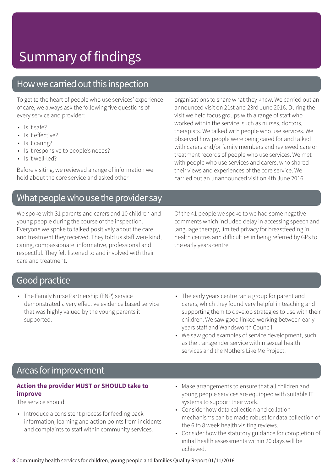### How we carried out this inspection

To get to the heart of people who use services' experience of care, we always ask the following five questions of every service and provider:

- $\cdot$  Is it safe?
- Is it effective?
- Is it caring?
- Is it responsive to people's needs?
- Is it well-led?

Before visiting, we reviewed a range of information we hold about the core service and asked other

### What people who use the provider say

We spoke with 31 parents and carers and 10 children and young people during the course of the inspection. Everyone we spoke to talked positively about the care and treatment they received. They told us staff were kind, caring, compassionate, informative, professional and respectful. They felt listened to and involved with their care and treatment.

organisations to share what they knew. We carried out an announced visit on 21st and 23rd June 2016. During the visit we held focus groups with a range of staff who worked within the service, such as nurses, doctors, therapists. We talked with people who use services. We observed how people were being cared for and talked with carers and/or family members and reviewed care or treatment records of people who use services. We met with people who use services and carers, who shared their views and experiences of the core service. We carried out an unannounced visit on 4th June 2016.

Of the 41 people we spoke to we had some negative comments which included delay in accessing speech and language therapy, limited privacy for breastfeeding in health centres and difficulties in being referred by GPs to the early years centre.

### Good practice

- The Family Nurse Partnership (FNP) service demonstrated a very effective evidence based service that was highly valued by the young parents it supported.
- The early years centre ran a group for parent and carers, which they found very helpful in teaching and supporting them to develop strategies to use with their children. We saw good linked working between early years staff and Wandsworth Council.
- We saw good examples of service development, such as the transgender service within sexual health services and the Mothers Like Me Project.

### Areas forimprovement

### **Action the provider MUST or SHOULD take to improve**

The service should:

- Introduce a consistent process for feeding back information, learning and action points from incidents and complaints to staff within community services.
- Make arrangements to ensure that all children and young people services are equipped with suitable IT systems to support their work.
- Consider how data collection and collation mechanisms can be made robust for data collection of the 6 to 8 week health visiting reviews.
- Consider how the statutory guidance for completion of initial health assessments within 20 days will be achieved.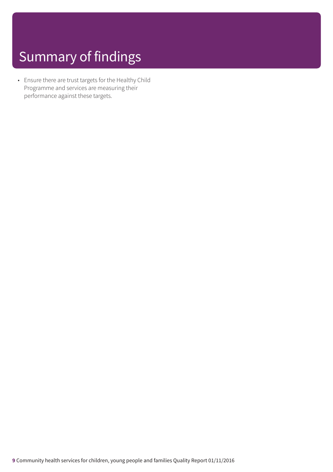• Ensure there are trust targets for the Healthy Child Programme and services are measuring their performance against these targets.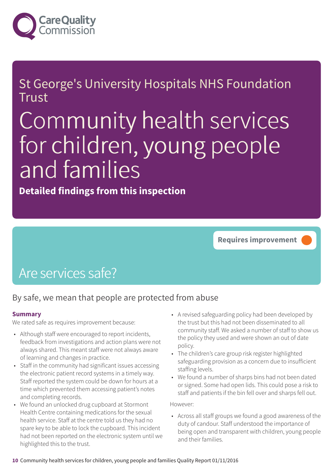

### St George's University Hospitals NHS Foundation **Trust**

# Community health services for children, young people and families

**Detailed findings from this inspection**

**Requires improvement –––**

## Are services safe?

### By safe, we mean that people are protected from abuse

### **Summary**

We rated safe as requires improvement because:

- Although staff were encouraged to report incidents, feedback from investigations and action plans were not always shared. This meant staff were not always aware of learning and changes in practice.
- Staff in the community had significant issues accessing the electronic patient record systems in a timely way. Staff reported the system could be down for hours at a time which prevented them accessing patient's notes and completing records.
- We found an unlocked drug cupboard at Stormont Health Centre containing medications for the sexual health service. Staff at the centre told us they had no spare key to be able to lock the cupboard. This incident had not been reported on the electronic system until we highlighted this to the trust.
- A revised safeguarding policy had been developed by the trust but this had not been disseminated to all community staff. We asked a number of staff to show us the policy they used and were shown an out of date policy.
- The children's care group risk register highlighted safeguarding provision as a concern due to insufficient staffing levels.
- We found a number of sharps bins had not been dated or signed. Some had open lids. This could pose a risk to staff and patients if the bin fell over and sharps fell out.

However:

• Across all staff groups we found a good awareness of the duty of candour. Staff understood the importance of being open and transparent with children, young people and their families.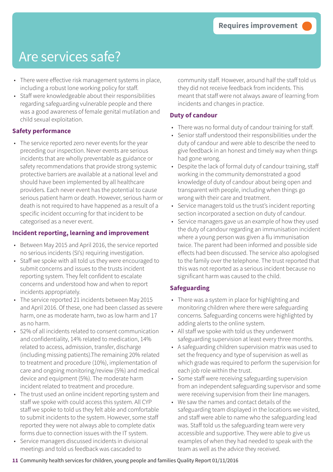- There were effective risk management systems in place, including a robust lone working policy for staff.
- Staff were knowledgeable about their responsibilities regarding safeguarding vulnerable people and there was a good awareness of female genital mutilation and child sexual exploitation.

### **Safety performance**

• The service reported zero never events for the year preceding our inspection. Never events are serious incidents that are wholly preventable as guidance or safety recommendations that provide strong systemic protective barriers are available at a national level and should have been implemented by all healthcare providers. Each never event has the potential to cause serious patient harm or death. However, serious harm or death is not required to have happened as a result of a specific incident occurring for that incident to be categorised as a never event.

### **Incident reporting, learning and improvement**

- Between May 2015 and April 2016, the service reported no serious incidents (SI's) requiring investigation.
- Staff we spoke with all told us they were encouraged to submit concerns and issues to the trusts incident reporting system. They felt confident to escalate concerns and understood how and when to report incidents appropriately.
- The service reported 21 incidents between May 2015 and April 2016. Of these, one had been classed as severe harm, one as moderate harm, two as low harm and 17 as no harm.
- 52% of all incidents related to consent communication and confidentiality, 14% related to medication, 14% related to access, admission, transfer, discharge (including missing patients).The remaining 20% related to treatment and procedure (10%), implementation of care and ongoing monitoring/review (5%) and medical device and equipment (5%). The moderate harm incident related to treatment and procedure.
- The trust used an online incident reporting system and staff we spoke with could access this system. All CYP staff we spoke to told us they felt able and comfortable to submit incidents to the system. However, some staff reported they were not always able to complete datix forms due to connection issues with the IT system.
- Service managers discussed incidents in divisional meetings and told us feedback was cascaded to

community staff. However, around half the staff told us they did not receive feedback from incidents. This meant that staff were not always aware of learning from incidents and changes in practice.

### **Duty of candour**

- There was no formal duty of candour training for staff.
- Senior staff understood their responsibilities under the duty of candour and were able to describe the need to give feedback in an honest and timely way when things had gone wrong.
- Despite the lack of formal duty of candour training, staff working in the community demonstrated a good knowledge of duty of candour about being open and transparent with people, including when things go wrong with their care and treatment.
- Service managers told us the trust's incident reporting section incorporated a section on duty of candour.
- Service managers gave us an example of how they used the duty of candour regarding an immunisation incident where a young person was given a flu immunisation twice. The parent had been informed and possible side effects had been discussed. The service also apologised to the family over the telephone. The trust reported that this was not reported as a serious incident because no significant harm was caused to the child.

### **Safeguarding**

- There was a system in place for highlighting and monitoring children where there were safeguarding concerns. Safeguarding concerns were highlighted by adding alerts to the online system.
- All staff we spoke with told us they underwent safeguarding supervision at least every three months.
- A safeguarding children supervision matrix was used to set the frequency and type of supervision as well as which grade was required to perform the supervision for each job role within the trust.
- Some staff were receiving safeguarding supervision from an independent safeguarding supervisor and some were receiving supervision from their line managers.
- We saw the names and contact details of the safeguarding team displayed in the locations we visited, and staff were able to name who the safeguarding lead was. Staff told us the safeguarding team were very accessible and supportive. They were able to give us examples of when they had needed to speak with the team as well as the advice they received.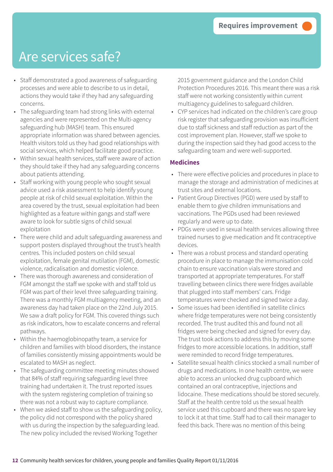- Staff demonstrated a good awareness of safeguarding processes and were able to describe to us in detail, actions they would take if they had any safeguarding concerns.
- The safeguarding team had strong links with external agencies and were represented on the Multi-agency safeguarding hub (MASH) team. This ensured appropriate information was shared between agencies. Health visitors told us they had good relationships with social services, which helped facilitate good practice.
- Within sexual health services, staff were aware of action they should take if they had any safeguarding concerns about patients attending.
- Staff working with young people who sought sexual advice used a risk assessment to help identify young people at risk of child sexual exploitation. Within the area covered by the trust, sexual exploitation had been highlighted as a feature within gangs and staff were aware to look for subtle signs of child sexual exploitation
- There were child and adult safeguarding awareness and support posters displayed throughout the trust's health centres. This included posters on child sexual exploitation, female genital mutilation (FGM), domestic violence, radicalisation and domestic violence.
- There was thorough awareness and consideration of FGM amongst the staff we spoke with and staff told us FGM was part of their level three safeguarding training. There was a monthly FGM multiagency meeting, and an awareness day had taken place on the 22nd July 2015. We saw a draft policy for FGM. This covered things such as risk indicators, how to escalate concerns and referral pathways.
- Within the haemoglobinopathy team, a service for children and families with blood disorders, the instance of families consistently missing appointments would be escalated to MASH as neglect.
- The safeguarding committee meeting minutes showed that 84% of staff requiring safeguarding level three training had undertaken it. The trust reported issues with the system registering completion of training so there was not a robust way to capture compliance.
- When we asked staff to show us the safeguarding policy, the policy did not correspond with the policy shared with us during the inspection by the safeguarding lead. The new policy included the revised Working Together

2015 government guidance and the London Child Protection Procedures 2016. This meant there was a risk staff were not working consistently within current multiagency guidelines to safeguard children.

• CYP services had indicated on the children's care group risk register that safeguarding provision was insufficient due to staff sickness and staff reduction as part of the cost improvement plan. However, staff we spoke to during the inspection said they had good access to the safeguarding team and were well-supported.

#### **Medicines**

- There were effective policies and procedures in place to manage the storage and administration of medicines at trust sites and external locations.
- Patient Group Directives (PGD) were used by staff to enable them to give children immunisations and vaccinations. The PGDs used had been reviewed regularly and were up to date.
- PDGs were used in sexual health services allowing three trained nurses to give medication and fit contraceptive devices.
- There was a robust process and standard operating procedure in place to manage the immunisation cold chain to ensure vaccination vials were stored and transported at appropriate temperatures. For staff travelling between clinics there were fridges available that plugged into staff members' cars. Fridge temperatures were checked and signed twice a day.
- Some issues had been identified in satellite clinics where fridge temperatures were not being consistently recorded. The trust audited this and found not all fridges were being checked and signed for every day. The trust took actions to address this by moving some fridges to more accessible locations. In addition, staff were reminded to record fridge temperatures.
- Satellite sexual health clinics stocked a small number of drugs and medications. In one health centre, we were able to access an unlocked drug cupboard which contained an oral contraceptive, injections and lidocaine. These medications should be stored securely. Staff at the health centre told us the sexual health service used this cupboard and there was no spare key to lock it at that time. Staff had to call their manager to feed this back. There was no mention of this being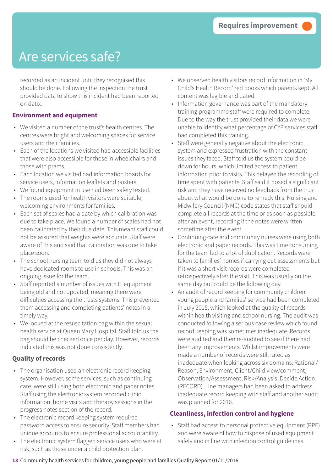recorded as an incident until they recognised this should be done. Following the inspection the trust provided data to show this incident had been reported on datix.

#### **Environment and equipment**

- We visited a number of the trust's health centres. The centres were bright and welcoming spaces for service users and their families.
- Each of the locations we visited had accessible facilities that were also accessible for those in wheelchairs and those with prams.
- Each location we visited had information boards for service users, information leaflets and posters.
- We found equipment in use had been safety tested.
- The rooms used for health visitors were suitable, welcoming environments for families.
- Each set of scales had a date by which calibration was due to take place. We found a number of scales had not been calibrated by their due date. This meant staff could not be assured that weights were accurate. Staff were aware of this and said that calibration was due to take place soon.
- The school nursing team told us they did not always have dedicated rooms to use in schools. This was an ongoing issue for the team.
- Staff reported a number of issues with IT equipment being old and not updated, meaning there were difficulties accessing the trusts systems. This prevented them accessing and completing patients' notes in a timely way.
- We looked at the resuscitation bag within the sexual health service at Queen Mary Hospital. Staff told us the bag should be checked once per day. However, records indicated this was not done consistently.

### **Quality of records**

- The organisation used an electronic record keeping system. However, some services, such as continuing care, were still using both electronic and paper notes. Staff using the electronic system recorded clinic information, home visits and therapy sessions in the progress notes section of the record.
- The electronic record keeping system required password access to ensure security. Staff members had unique accounts to ensure professional accountability.
- The electronic system flagged service users who were at risk, such as those under a child protection plan.
- We observed health visitors record information in 'My Child's Health Record' red books which parents kept. All content was legible and dated.
- Information governance was part of the mandatory training programme staff were required to complete. Due to the way the trust provided their data we were unable to identify what percentage of CYP services staff had completed this training.
- Staff were generally negative about the electronic system and expressed frustration with the constant issues they faced. Staff told us the system could be down for hours, which limited access to patient information prior to visits. This delayed the recording of time spent with patients. Staff said it posed a significant risk and they have received no feedback from the trust about what would be done to remedy this. Nursing and Midwifery Council (NMC) code states that staff should complete all records at the time or as soon as possible after an event, recording if the notes were written sometime after the event.
- Continuing care and community nurses were using both electronic and paper records. This was time consuming for the team led to a lot of duplication. Records were taken to families' homes if carrying out assessments but if it was a short visit records were completed retrospectively after the visit. This was usually on the same day but could be the following day.
- An audit of record keeping for community children, young people and families' service had been completed in July 2015, which looked at the quality of records within health visiting and school nursing. The audit was conducted following a serious case review which found record keeping was sometimes inadequate. Records were audited and then re-audited to see if there had been any improvements. Whilst improvements were made a number of records were still rated as inadequate when looking across six domains: Rational/ Reason, Environment, Client/Child view/comment, Observation/Assessment, Risk/Analysis, Decide Action (RECORD). Line managers had been asked to address inadequate record keeping with staff and another audit was planned for 2016.

### **Cleanliness, infection control and hygiene**

• Staff had access to personal protective equipment (PPE) and were aware of how to dispose of used equipment safely and in line with infection control guidelines.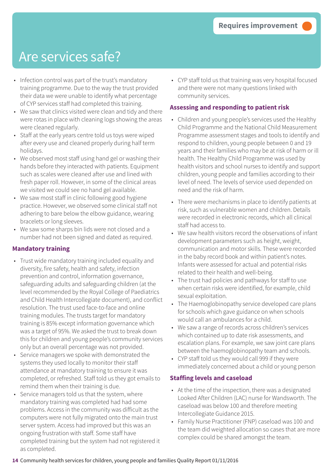- Infection control was part of the trust's mandatory training programme. Due to the way the trust provided their data we were unable to identify what percentage of CYP services staff had completed this training.
- We saw that clinics visited were clean and tidy and there were rotas in place with cleaning logs showing the areas were cleaned regularly.
- Staff at the early years centre told us toys were wiped after every use and cleaned properly during half term holidays.
- We observed most staff using hand gel or washing their hands before they interacted with patients. Equipment such as scales were cleaned after use and lined with fresh paper roll. However, in some of the clinical areas we visited we could see no hand gel available.
- We saw most staff in clinic following good hygiene practice. However, we observed some clinical staff not adhering to bare below the elbow guidance, wearing bracelets or long sleeves.
- We saw some sharps bin lids were not closed and a number had not been signed and dated as required.

### **Mandatory training**

- Trust wide mandatory training included equality and diversity, fire safety, health and safety, infection prevention and control, information governance, safeguarding adults and safeguarding children (at the level recommended by the Royal College of Paediatrics and Child Health Intercollegiate document), and conflict resolution. The trust used face-to-face and online training modules. The trusts target for mandatory training is 85% except information governance which was a target of 95%. We asked the trust to break down this for children and young people's community services only but an overall percentage was not provided.
- Service managers we spoke with demonstrated the systems they used locally to monitor their staff attendance at mandatory training to ensure it was completed, or refreshed. Staff told us they got emails to remind them when their training is due.
- Service managers told us that the system, where mandatory training was completed had had some problems. Access in the community was difficult as the computers were not fully migrated onto the main trust server system. Access had improved but this was an ongoing frustration with staff. Some staff have completed training but the system had not registered it as completed.

• CYP staff told us that training was very hospital focused and there were not many questions linked with community services.

### **Assessing and responding to patient risk**

- Children and young people's services used the Healthy Child Programme and the National Child Measurement Programme assessment stages and tools to identify and respond to children, young people between 0 and 19 years and their families who may be at risk of harm or ill health. The Healthy Child Programme was used by health visitors and school nurses to identify and support children, young people and families according to their level of need. The levels of service used depended on need and the risk of harm.
- There were mechanisms in place to identify patients at risk, such as vulnerable women and children. Details were recorded in electronic records, which all clinical staff had access to.
- We saw health visitors record the observations of infant development parameters such as height, weight, communication and motor skills. These were recorded in the baby record book and within patient's notes. Infants were assessed for actual and potential risks related to their health and well-being.
- The trust had policies and pathways for staff to use when certain risks were identified, for example, child sexual exploitation.
- The Haemoglobinopathy service developed care plans for schools which gave guidance on when schools would call an ambulances for a child.
- We saw a range of records across children's services which contained up to date risk assessments, and escalation plans. For example, we saw joint care plans between the haemoglobinopathy team and schools.
- CYP staff told us they would call 999 if they were immediately concerned about a child or young person

### **Staffing levels and caseload**

- At the time of the inspection, there was a designated Looked After Children (LAC) nurse for Wandsworth. The caseload was below 100 and therefore meeting Intercollegiate Guidance 2015.
- Family Nurse Practitioner (FNP) caseload was 100 and the team did weighted allocation so cases that are more complex could be shared amongst the team.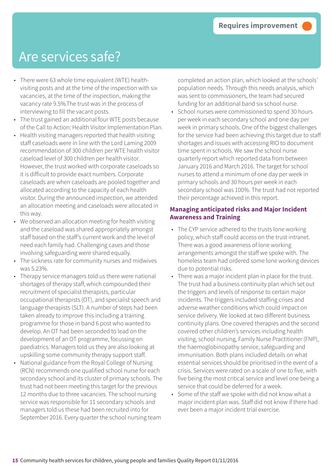- There were 63 whole time equivalent (WTE) healthvisiting posts and at the time of the inspection with six vacancies, at the time of the inspection, making the vacancy rate 9.5%.The trust was in the process of interviewing to fill the vacant posts.
- The trust gained an additional four WTE posts because of the Call to Action: Health Visitor Implementation Plan.
- Health visiting managers reported that health visiting staff caseloads were in line with the Lord Laming 2009 recommendation of 300 children per WTE health visitor caseload level of 300 children per health visitor. However, the trust worked with corporate caseloads so it is difficult to provide exact numbers. Corporate caseloads are when caseloads are pooled together and allocated according to the capacity of each health visitor. During the announced inspection, we attended an allocation meeting and caseloads were allocated in this way.
- We observed an allocation meeting for health visiting and the caseload was shared appropriately amongst staff based on the staff's current work and the level of need each family had. Challenging cases and those involving safeguarding were shared equally.
- The sickness rate for community nurses and midwives was 5.23%.
- Therapy service managers told us there were national shortages of therapy staff, which compounded their recruitment of specialist therapists, particular occupational therapists (OT), and specialist speech and language therapists (SLT). A number of steps had been taken already to improve this including a training programme for those in band 6 post who wanted to develop. An OT had been seconded to lead on the development of an OT programme, focussing on paediatrics. Managers told us they are also looking at upskilling some community therapy support staff.
- National guidance from the Royal College of Nursing (RCN) recommends one qualified school nurse for each secondary school and its cluster of primary schools. The trust had not been meeting this target for the previous 12 months due to three vacancies. The school nursing service was responsible for 11 secondary schools and managers told us these had been recruited into for September 2016. Every quarter the school nursing team

completed an action plan, which looked at the schools' population needs. Through this needs analysis, which was sent to commissioners, the team had secured funding for an additional band six school nurse.

• School nurses were commissioned to spend 30 hours per week in each secondary school and one day per week in primary schools. One of the biggest challenges for the service had been achieving this target due to staff shortages and issues with accessing RIO to document time spent in schools. We saw the school nurse quarterly report which reported data from between January 2016 and March 2016. The target for school nurses to attend a minimum of one day per week in primary schools and 30 hours per week in each secondary school was 100%. The trust had not reported their percentage achieved in this report.

#### **Managing anticipated risks and Major Incident Awareness and Training**

- The CYP service adhered to the trusts lone working policy, which staff could access on the trust intranet. There was a good awareness of lone working arrangements amongst the staff we spoke with. The homeless team had ordered some lone working devices due to potential risks.
- There was a major incident plan in place for the trust. The trust had a business continuity plan which set out the triggers and levels of response to certain major incidents. The triggers included staffing crises and adverse weather conditions which could impact on service delivery. We looked at two different business continuity plans. One covered therapies and the second covered other children's services including health visiting, school nursing, Family Nurse Practitioner (FNP), the haemoglobinopathy service, safeguarding and immunisation. Both plans included details on what essential services should be prioritised in the event of a crisis. Services were rated on a scale of one to five, with five being the most critical service and level one being a service that could be deferred for a week.
- Some of the staff we spoke with did not know what a major incident plan was. Staff did not know if there had ever been a major incident trial exercise.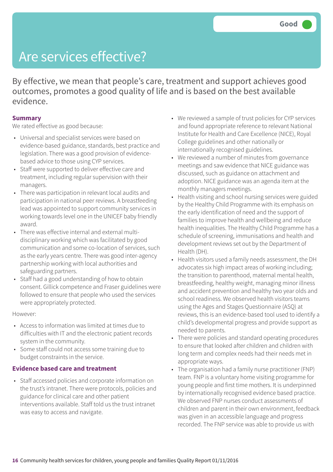By effective, we mean that people's care, treatment and support achieves good outcomes, promotes a good quality of life and is based on the best available evidence.

#### **Summary**

We rated effective as good because:

- Universal and specialist services were based on evidence-based guidance, standards, best practice and legislation. There was a good provision of evidencebased advice to those using CYP services.
- Staff were supported to deliver effective care and treatment, including regular supervision with their managers.
- There was participation in relevant local audits and participation in national peer reviews. A breastfeeding lead was appointed to support community services in working towards level one in the UNICEF baby friendly award.
- There was effective internal and external multidisciplinary working which was facilitated by good communication and some co-location of services, such as the early years centre. There was good inter-agency partnership working with local authorities and safeguarding partners.
- Staff had a good understanding of how to obtain consent. Gillick competence and Fraser guidelines were followed to ensure that people who used the services were appropriately protected.

However:

- Access to information was limited at times due to difficulties with IT and the electronic patient records system in the community.
- Some staff could not access some training due to budget constraints in the service.

#### **Evidence based care and treatment**

• Staff accessed policies and corporate information on the trust's intranet. There were protocols, policies and guidance for clinical care and other patient interventions available. Staff told us the trust intranet was easy to access and navigate.

- We reviewed a sample of trust policies for CYP services and found appropriate reference to relevant National Institute for Health and Care Excellence (NICE), Royal College guidelines and other nationally or internationally recognised guidelines.
- We reviewed a number of minutes from governance meetings and saw evidence that NICE guidance was discussed, such as guidance on attachment and adoption. NICE guidance was an agenda item at the monthly managers meetings.
- Health visiting and school nursing services were guided by the Healthy Child Programme with its emphasis on the early identification of need and the support of families to improve health and wellbeing and reduce health inequalities. The Healthy Child Programme has a schedule of screening, immunisations and health and development reviews set out by the Department of Health (DH).
- Health visitors used a family needs assessment, the DH advocates six high impact areas of working including; the transition to parenthood, maternal mental health, breastfeeding, healthy weight, managing minor illness and accident prevention and healthy two year olds and school readiness. We observed health visitors teams using the Ages and Stages Questionnaire (ASQ) at reviews, this is an evidence-based tool used to identify a child's developmental progress and provide support as needed to parents.
- There were policies and standard operating procedures to ensure that looked after children and children with long term and complex needs had their needs met in appropriate ways.
- The organisation had a family nurse practitioner (FNP) team. FNP is a voluntary home visiting programme for young people and first time mothers. It is underpinned by internationally recognised evidence based practice. We observed FNP nurses conduct assessments of children and parent in their own environment, feedback was given in an accessible language and progress recorded. The FNP service was able to provide us with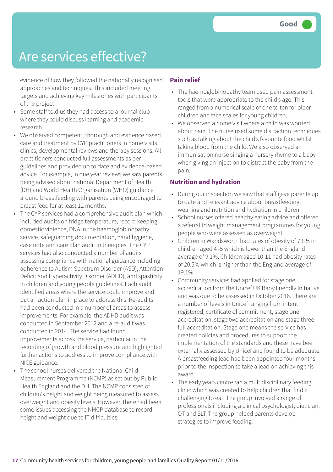evidence of how they followed the nationally recognised approaches and techniques. This included meeting targets and achieving key milestones with participants of the project.

- Some staff told us they had access to a journal club where they could discuss learning and academic research.
- We observed competent, thorough and evidence based care and treatment by CYP practitioners in home visits, clinics, developmental reviews and therapy sessions. All practitioners conducted full assessments as per guidelines and provided up to date and evidence-based advice. For example, in one year reviews we saw parents being advised about national Department of Health (DH) and World Health Organisation (WHO) guidance around breastfeeding with parents being encouraged to breast feed for at least 12 months.
- The CYP services had a comprehensive audit plan which included audits on fridge temperature, record keeping, domestic violence, DNA in the haemoglobinopathy service, safeguarding documentation, hand hygiene, case note and care plan audit in therapies. The CYP services had also conducted a number of audits assessing compliance with national guidance including adherence to Autism Spectrum Disorder (ASD), Attention Deficit and Hyperactivity Disorder (ADHD), and spasticity in children and young people guidelines. Each audit identified areas where the service could improve and put an action plan in place to address this. Re-audits had been conducted in a number of areas to assess improvements. For example, the ADHD audit was conducted in September 2012 and a re-audit was conducted in 2014. The service had found improvements across the service, particular in the recording of growth and blood pressure and highlighted further actions to address to improve compliance with NICE guidance.
- The school nurses delivered the National Child Measurement Programme (NCMP) as set out by Public Health England and the DH. The NCMP consisted of children's height and weight being measured to assess overweight and obesity levels. However, there had been some issues accessing the NMCP database to record height and weight due to IT difficulties.

### **Pain relief**

- The haemoglobinopathy team used pain assessment tools that were appropriate to the child's age. This ranged from a numerical scale of one to ten for older children and face scales for young children.
- We observed a home visit where a child was worried about pain. The nurse used some distraction techniques such as talking about the child's favourite food whilst taking blood from the child. We also observed an immunisation nurse singing a nursery rhyme to a baby when giving an injection to distract the baby from the pain.

#### **Nutrition and hydration**

- During our inspection we saw that staff gave parents up to date and relevant advice about breastfeeding, weaning and nutrition and hydration in children.
- School nurses offered healthy eating advice and offered a referral to weight management programmes for young people who were assessed as overweight.
- Children in Wandsworth had rates of obesity of 7.8% in children aged 4 -5 which is lower than the England average of 9.1%. Children aged 10-11 had obesity rates of 20.5% which is higher than the England average of 19.1%.
- Community services had applied for stage one accreditation from the Unicef UK Baby Friendly Initiative and was due to be assessed in October 2016. There are a number of levels in Unicef ranging from intent registered, certificate of commitment, stage one accreditation, stage two accreditation and stage three full accreditation. Stage one means the service has created policies and procedures to support the implementation of the standards and these have been externally assessed by Unicef and found to be adequate. A breastfeeding lead had been appointed four months prior to the inspection to take a lead on achieving this award.
- The early years centre ran a multidisciplinary feeding clinic which was created to help children that find it challenging to eat. The group involved a range of professionals including a clinical psychologist, dietician, OT and SLT. The group helped parents develop strategies to improve feeding.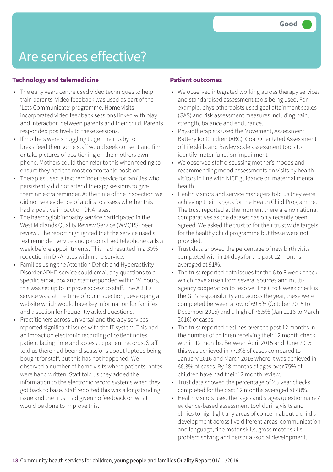### **Technology and telemedicine**

- The early years centre used video techniques to help train parents. Video feedback was used as part of the 'Lets Communicate' programme. Home visits incorporated video feedback sessions linked with play and interaction between parents and their child. Parents responded positively to these sessions.
- If mothers were struggling to get their baby to breastfeed then some staff would seek consent and film or take pictures of positioning on the mothers own phone. Mothers could then refer to this when feeding to ensure they had the most comfortable position.
- Therapies used a text reminder service for families who persistently did not attend therapy sessions to give them an extra reminder. At the time of the inspection we did not see evidence of audits to assess whether this had a positive impact on DNA rates.
- The haemoglobinopathy service participated in the West Midlands Quality Review Service (WMQRS) peer review . The report highlighted that the service used a text reminder service and personalised telephone calls a week before appointments. This had resulted in a 30% reduction in DNA rates within the service.
- Families using the Attention Deficit and Hyperactivity Disorder ADHD service could email any questions to a specific email box and staff responded within 24 hours, this was set up to improve access to staff. The ADHD service was, at the time of our inspection, developing a website which would have key information for families and a section for frequently asked questions.
- Practitioners across universal and therapy services reported significant issues with the IT system. This had an impact on electronic recording of patient notes, patient facing time and access to patient records. Staff told us there had been discussions about laptops being bought for staff, but this has not happened. We observed a number of home visits where patients' notes were hand written. Staff told us they added the information to the electronic record systems when they got back to base. Staff reported this was a longstanding issue and the trust had given no feedback on what would be done to improve this.

### **Patient outcomes**

- We observed integrated working across therapy services and standardised assessment tools being used. For example, physiotherapists used goal attainment scales (GAS) and risk assessment measures including pain, strength, balance and endurance.
- Physiotherapists used the Movement, Assessment Battery for Children (ABC), Goal Orientated Assessment of Life skills and Bayley scale assessment tools to identify motor function impairment
- We observed staff discussing mother's moods and recommending mood assessments on visits by health visitors in line with NICE guidance on maternal mental health.
- Health visitors and service managers told us they were achieving their targets for the Health Child Programme. The trust reported at the moment there are no national comparatives as the dataset has only recently been agreed. We asked the trust to for their trust wide targets for the healthy child programme but these were not provided.
- Trust data showed the percentage of new birth visits completed within 14 days for the past 12 months averaged at 91%.
- The trust reported data issues for the 6 to 8 week check which have arisen from several sources and multiagency cooperation to resolve. The 6 to 8 week check is the GP's responsibility and across the year, these were completed between a low of 69.5% (October 2015 to December 2015) and a high of 78.5% (Jan 2016 to March 2016) of cases.
- The trust reported declines over the past 12 months in the number of children receiving their 12 month check within 12 months. Between April 2015 and June 2015 this was achieved in 77.3% of cases compared to January 2016 and March 2016 where it was achieved in 66.3% of cases. By 18 months of ages over 75% of children have had their 12 month review.
- Trust data showed the percentage of 2.5 year checks completed for the past 12 months averaged at 48%.
- Health visitors used the 'ages and stages questionnaires' evidence-based assessment tool during visits and clinics to highlight any areas of concern about a child's development across five different areas: communication and language, fine motor skills, gross motor skills, problem solving and personal-social development.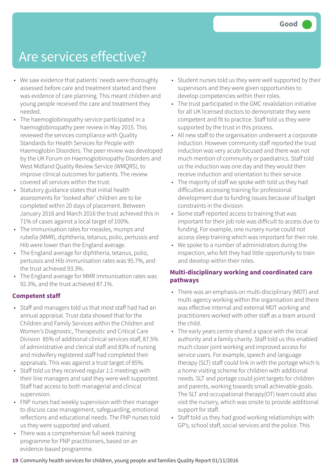- We saw evidence that patients' needs were thoroughly assessed before care and treatment started and there was evidence of care planning. This meant children and young people received the care and treatment they needed.
- The haemoglobinopathy service participated in a haemoglobinopathy peer review in May 2015. This reviewed the services compliance with Quality Standards for Health Services for People with Haemoglobin Disorders. The peer review was developed by the UK Forum on Haemoglobinopathy Disorders and West Midland Quality Review Service (WMQRS), to improve clinical outcomes for patients. The review covered all services within the trust.
- Statutory guidance states that initial health assessments for 'looked after' children are to be completed within 20 days of placement. Between January 2016 and March 2016 the trust achieved this in 71% of cases against a local target of 100%.
- The immunisation rates for measles, mumps and rubella (MMR), diphtheria, tetanus, polio, pertussis and Hib were lower than the England average.
- The England average for diphtheria, tetanus, polio, pertussis and Hib immunisation rates was 95.7%, and the trust achieved 93.3%.
- The England average for MMR immunisation rates was 92.3%, and the trust achieved 87.1%.

#### **Competent staff**

- Staff and managers told us that most staff had had an annual appraisal. Trust data showed that for the Children and Family Services within the Children and Women's Diagnostic, Therapeutic and Critical Care Division 85% of additional clinical services staff, 87.5% of administrative and clerical staff and 83% of nursing and midwifery registered staff had completed their appraisals. This was against a trust target of 85%.
- Staff told us they received regular 1:1 meetings with their line managers and said they were well supported. Staff had access to both managerial and clinical supervision.
- FNP nurses had weekly supervision with their manager to discuss case management, safeguarding, emotional reflections and educational needs. The FNP nurses told us they were supported and valued.
- There was a comprehensive full week training programme for FNP practitioners, based on an evidence-based programme.
- Student nurses told us they were well supported by their supervisors and they were given opportunities to develop competencies within their roles.
- The trust participated in the GMC revalidation initiative for all UK licensed doctors to demonstrate they were competent and fit to practice. Staff told us they were supported by the trust in this process.
- All new staff to the organisation underwent a corporate induction. However community staff reported the trust induction was very acute focused and there was not much mention of community or paediatrics. Staff told us the induction was one day and they would then receive induction and orientation to their service.
- The majority of staff we spoke with told us they had difficulties accessing training for professional development due to funding issues because of budget constraints in the division.
- Some staff reported access to training that was important for their job role was difficult to access due to funding. For example, one nursery nurse could not access sleep training which was important for their role.
- We spoke to a number of administrators during the inspection, who felt they had little opportunity to train and develop within their roles.

### **Multi-disciplinary working and coordinated care pathways**

- There was an emphasis on multi-disciplinary (MDT) and multi-agency working within the organisation and there was effective internal and external MDT working and practitioners worked with other staff as a team around the child.
- The early years centre shared a space with the local authority and a family charity. Staff told us this enabled much closer joint working and improved access for service users. For example, speech and language therapy (SLT) staff could link in with the portage which is a home visiting scheme for children with additional needs. SLT and portage could joint targets for children and parents, working towards small achievable goals. The SLT and occupational therapy(OT) team could also visit the nursery, which was onsite to provide additional support for staff.
- Staff told us they had good working relationships with GP's, school staff, social services and the police. This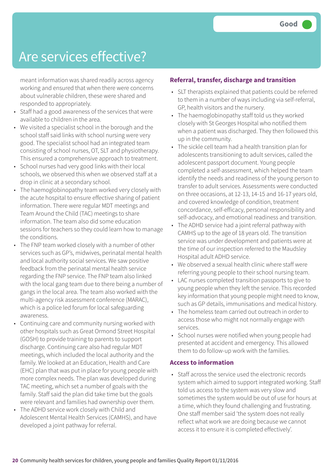meant information was shared readily across agency working and ensured that when there were concerns about vulnerable children, these were shared and responded to appropriately.

- Staff had a good awareness of the services that were available to children in the area.
- We visited a specialist school in the borough and the school staff said links with school nursing were very good. The specialist school had an integrated team consisting of school nurses, OT, SLT and physiotherapy. This ensured a comprehensive approach to treatment.
- School nurses had very good links with their local schools, we observed this when we observed staff at a drop in clinic at a secondary school.
- The haemoglobinopathy team worked very closely with the acute hospital to ensure effective sharing of patient information. There were regular MDT meetings and Team Around the Child (TAC) meetings to share information. The team also did some education sessions for teachers so they could learn how to manage the conditions.
- The FNP team worked closely with a number of other services such as GP's, midwives, perinatal mental health and local authority social services. We saw positive feedback from the perinatal mental health service regarding the FNP service. The FNP team also linked with the local gang team due to there being a number of gangs in the local area. The team also worked with the multi-agency risk assessment conference (MARAC), which is a police led forum for local safeguarding awareness.
- Continuing care and community nursing worked with other hospitals such as Great Ormond Street Hospital (GOSH) to provide training to parents to support discharge. Continuing care also had regular MDT meetings, which included the local authority and the family. We looked at an Education, Health and Care (EHC) plan that was put in place for young people with more complex needs. The plan was developed during TAC meeting, which set a number of goals with the family. Staff said the plan did take time but the goals were relevant and families had ownership over them.
- The ADHD service work closely with Child and Adolescent Mental Health Services (CAMHS), and have developed a joint pathway for referral.

#### **Referral, transfer, discharge and transition**

- SLT therapists explained that patients could be referred to them in a number of ways including via self-referral, GP, health visitors and the nursery.
- The haemoglobinopathy staff told us they worked closely with St Georges Hospital who notified them when a patient was discharged. They then followed this up in the community.
- The sickle cell team had a health transition plan for adolescents transitioning to adult services, called the adolescent passport document. Young people completed a self-assessment, which helped the team identify the needs and readiness of the young person to transfer to adult services. Assessments were conducted on three occasions, at 12-13, 14-15 and 16-17 years old, and covered knowledge of condition, treatment concordance, self-efficacy, personal responsibility and self-advocacy, and emotional readiness and transition.
- The ADHD service had a joint referral pathway with CAMHS up to the age of 18 years old. The transition service was under development and patients were at the time of our inspection referred to the Maudsley Hospital adult ADHD service.
- We observed a sexual health clinic where staff were referring young people to their school nursing team.
- LAC nurses completed transition passports to give to young people when they left the service. This recorded key information that young people might need to know, such as GP details, immunisations and medical history.
- The homeless team carried out outreach in order to access those who might not normally engage with services.
- School nurses were notified when young people had presented at accident and emergency. This allowed them to do follow-up work with the families.

#### **Access to information**

• Staff across the service used the electronic records system which aimed to support integrated working. Staff told us access to the system was very slow and sometimes the system would be out of use for hours at a time, which they found challenging and frustrating. One staff member said 'the system does not really reflect what work we are doing because we cannot access it to ensure it is completed effectively'.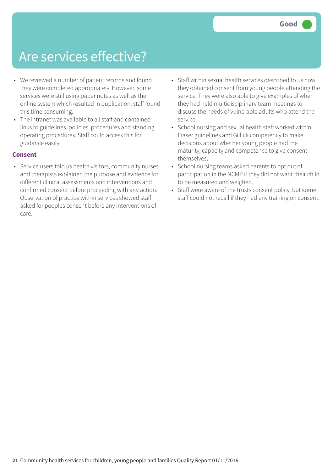- We reviewed a number of patient records and found they were completed appropriately. However, some services were still using paper notes as well as the online system which resulted in duplication, staff found this time consuming.
- The intranet was available to all staff and contained links to guidelines, policies, procedures and standing operating procedures. Staff could access this for guidance easily.

#### **Consent**

- Service users told us health visitors, community nurses and therapists explained the purpose and evidence for different clinical assessments and interventions and confirmed consent before proceeding with any action. Observation of practice within services showed staff asked for peoples consent before any interventions of care.
- Staff within sexual health services described to us how they obtained consent from young people attending the service. They were also able to give examples of when they had held multidisciplinary team meetings to discuss the needs of vulnerable adults who attend the service.
- School nursing and sexual health staff worked within Fraser guidelines and Gillick competency to make decisions about whether young people had the maturity, capacity and competence to give consent themselves.
- School nursing teams asked parents to opt out of participation in the NCMP if they did not want their child to be measured and weighed.
- Staff were aware of the trusts consent policy, but some staff could not recall if they had any training on consent.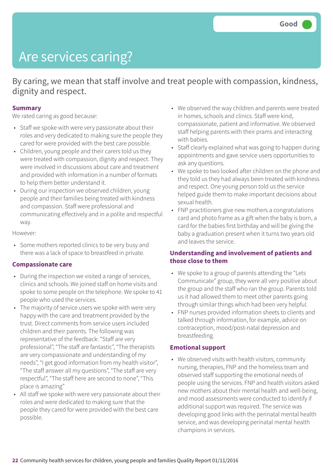## Are services caring?

By caring, we mean that staff involve and treat people with compassion, kindness, dignity and respect.

#### **Summary**

We rated caring as good because:

- Staff we spoke with were very passionate about their roles and very dedicated to making sure the people they cared for were provided with the best care possible.
- Children, young people and their carers told us they were treated with compassion, dignity and respect. They were involved in discussions about care and treatment and provided with information in a number of formats to help them better understand it.
- During our inspection we observed children, young people and their families being treated with kindness and compassion. Staff were professional and communicating effectively and in a polite and respectful way.

However:

• Some mothers reported clinics to be very busy and there was a lack of space to breastfeed in private.

#### **Compassionate care**

- During the inspection we visited a range of services, clinics and schools. We joined staff on home visits and spoke to some people on the telephone. We spoke to 41 people who used the services.
- The majority of service users we spoke with were very happy with the care and treatment provided by the trust. Direct comments from service users included children and their parents. The following was representative of the feedback: "Staff are very professional", "The staff are fantastic", "The therapists are very compassionate and understanding of my needs", "I get good information from my health visitor", "The staff answer all my questions", "The staff are very respectful", "The staff here are second to none", "This place is amazing"
- All staff we spoke with were very passionate about their roles and were dedicated to making sure that the people they cared for were provided with the best care possible.
- We observed the way children and parents were treated in homes, schools and clinics. Staff were kind, compassionate, patient and informative. We observed staff helping parents with their prams and interacting with babies.
- Staff clearly explained what was going to happen during appointments and gave service users opportunities to ask any questions.
- We spoke to two looked after children on the phone and they told us they had always been treated with kindness and respect. One young person told us the service helped guide them to make important decisions about sexual health.
- FNP practitioners give new mothers a congratulations card and photo frame as a gift when the baby is born, a card for the babies first birthday and will be giving the baby a graduation present when it turns two years old and leaves the service.

#### **Understanding and involvement of patients and those close to them**

- We spoke to a group of parents attending the "Lets Communicate" group, they were all very positive about the group and the staff who ran the group. Parents told us it had allowed them to meet other parents going through similar things which had been very helpful.
- FNP nurses provided information sheets to clients and talked through information, for example, advice on contraception, mood/post-natal depression and breastfeeding.

#### **Emotional support**

• We observed visits with health visitors, community nursing, therapies, FNP and the homeless team and observed staff supporting the emotional needs of people using the services. FNP and health visitors asked new mothers about their mental health and well-being, and mood assessments were conducted to identify if additional support was required. The service was developing good links with the perinatal mental health service, and was developing perinatal mental health champions in services.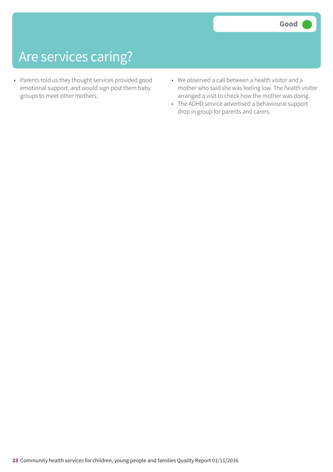### Are services caring?

- Parents told us they thought services provided good emotional support, and would sign post them baby groups to meet other mothers.
- We observed a call between a health visitor and a mother who said she was feeling low. The health visitor arranged a visit to check how the mother was doing.
- The ADHD service advertised a behavioural support drop in group for parents and carers.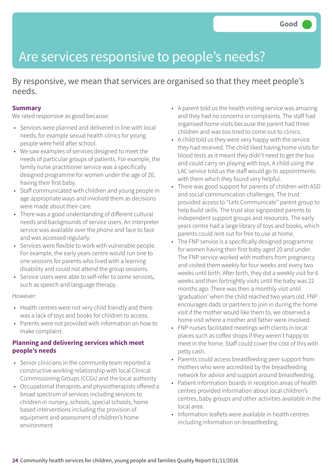### Are services responsive to people's needs?

By responsive, we mean that services are organised so that they meet people's needs.

### **Summary**

We rated responsive as good because:

- Services were planned and delivered in line with local needs, for example sexual health clinics for young people were held after school.
- We saw examples of services designed to meet the needs of particular groups of patients. For example, the family nurse practitioner service was a specifically designed programme for women under the age of 20, having their first baby.
- Staff communicated with children and young people in age appropriate ways and involved them as decisions were made about their care.
- There was a good understanding of different cultural needs and backgrounds of service users. An interpreter service was available over the phone and face to face and was accessed regularly.
- Services were flexible to work with vulnerable people. For example, the early years centre would run one to one sessions for parents who lived with a learning disability and could not attend the group sessions.
- Service users were able to self-refer to some services, such as speech and language therapy.

#### However:

- Health centres were not very child friendly and there was a lack of toys and books for children to access.
- Parents were not provided with information on how to make complaint.

### **Planning and delivering services which meet people's needs**

- Senior clinicians in the community team reported a constructive working relationship with local Clinical Commissioning Groups (CCGs) and the local authority
- Occupational therapists and physiotherapists offered a broad spectrum of services including services to children in nursery, schools, special schools, home based interventions including the provision of equipment and assessment of children's home environment
- A parent told us the health visiting service was amazing and they had no concerns or complaints. The staff had organised home visits because the parent had three children and was too tired to come out to clinics.
- A child told us they were very happy with the service they had received. The child liked having home visits for blood tests as it meant they didn't need to get the bus and could carry on playing with toys. A child using the LAC service told us the staff would go to appointments with them which they found very helpful.
- There was good support for parents of children with ASD and social communication challenges. The trust provided access to "Lets Communicate" parent group to help build skills. The trust also signposted parents to independent support groups and resources. The early years centre had a large library of toys and books, which parents could rent out for free to use at home.
- The FNP service is a specifically designed programme for women having their first baby aged 20 and under. The FNP service worked with mothers from pregnancy and visited them weekly for four weeks and every two weeks until birth. After birth, they did a weekly visit for 6 weeks and then fortnightly visits until the baby was 22 months ago. There was then a monthly visit until 'graduation' when the child reached two years old. FNP encourages dads or partners to join in during the home visit if the mother would like them to, we observed a home visit where a mother and father were involved.
- FNP nurses facilitated meetings with clients in local places such as coffee shops if they weren't happy to meet in the home. Staff could cover the cost of this with petty cash.
- Parents could access breastfeeding peer support from mothers who were accredited by the breastfeeding network for advice and support around breastfeeding.
- Patient information boards in reception areas of health centres provided information about local children's centres, baby groups and other activities available in the local area.
- Information leaflets were available in health centres including information on breastfeeding.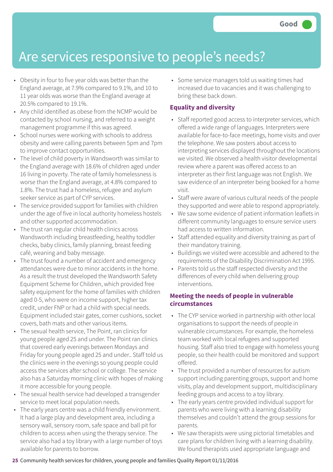### Are services responsive to people's needs?

- Obesity in four to five year olds was better than the England average, at 7.9% compared to 9.1%, and 10 to 11 year olds was worse than the England average at 20.5% compared to 19.1%.
- Any child identified as obese from the NCMP would be contacted by school nursing, and referred to a weight management programme if this was agreed.
- School nurses were working with schools to address obesity and were calling parents between 5pm and 7pm to improve contact opportunities.
- The level of child poverty in Wandsworth was similar to the England average with 18.6% of children aged under 16 living in poverty. The rate of family homelessness is worse than the England average, at 4.8% compared to 1.8%. The trust had a homeless, refugee and asylum seeker service as part of CYP services.
- The service provided support for families with children under the age of five in local authority homeless hostels and other supported accommodation.
- The trust ran regular child health clinics across Wandsworth including breastfeeding, healthy toddler checks, baby clinics, family planning, breast feeding café, weaning and baby message.
- The trust found a number of accident and emergency attendances were due to minor accidents in the home. As a result the trust developed the Wandsworth Safety Equipment Scheme for Children, which provided free safety equipment for the home of families with children aged 0-5, who were on income support, higher tax credit, under FNP or had a child with special needs. Equipment included stair gates, corner cushions, socket covers, bath mats and other various items.
- The sexual health service, The Point, ran clinics for young people aged 25 and under. The Point ran clinics that covered early evenings between Mondays and Friday for young people aged 25 and under.. Staff told us the clinics were in the evenings so young people could access the services after school or college. The service also has a Saturday morning clinic with hopes of making it more accessible for young people.
- The sexual health service had developed a transgender service to meet local population needs.
- The early years centre was a child friendly environment. It had a large play and development area, including a sensory wall, sensory room, safe space and ball pit for children to access when using the therapy service. The service also had a toy library with a large number of toys available for parents to borrow.

• Some service managers told us waiting times had increased due to vacancies and it was challenging to bring these back down.

### **Equality and diversity**

- Staff reported good access to interpreter services, which offered a wide range of languages. Interpreters were available for face-to-face meetings, home visits and over the telephone. We saw posters about access to interpreting services displayed throughout the locations we visited. We observed a health visitor developmental review where a parent was offered access to an interpreter as their first language was not English. We saw evidence of an interpreter being booked for a home visit.
- Staff were aware of various cultural needs of the people they supported and were able to respond appropriately.
- We saw some evidence of patient information leaflets in different community languages to ensure service users had access to written information.
- Staff attended equality and diversity training as part of their mandatory training.
- Buildings we visited were accessible and adhered to the requirements of the Disability Discrimination Act 1995.
- Parents told us the staff respected diversity and the differences of every child when delivering group interventions.

### **Meeting the needs of people in vulnerable circumstances**

- The CYP service worked in partnership with other local organisations to support the needs of people in vulnerable circumstances. For example, the homeless team worked with local refugees and supported housing. Staff also tried to engage with homeless young people, so their health could be monitored and support offered.
- The trust provided a number of resources for autism support including parenting groups, support and home visits, play and development support, multidisciplinary feeding groups and access to a toy library.
- The early years centre provided individual support for parents who were living with a learning disability themselves and couldn't attend the group sessions for parents.
- We saw therapists were using pictorial timetables and care plans for children living with a learning disability. We found therapists used appropriate language and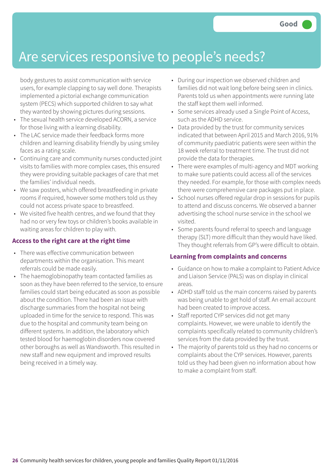### Are services responsive to people's needs?

body gestures to assist communication with service users, for example clapping to say well done. Therapists implemented a pictorial exchange communication system (PECS) which supported children to say what they wanted by showing pictures during sessions.

- The sexual health service developed ACORN, a service for those living with a learning disability.
- The LAC service made their feedback forms more children and learning disability friendly by using smiley faces as a rating scale.
- Continuing care and community nurses conducted joint visits to families with more complex cases, this ensured they were providing suitable packages of care that met the families' individual needs.
- We saw posters, which offered breastfeeding in private rooms if required, however some mothers told us they could not access private space to breastfeed.
- We visited five health centres, and we found that they had no or very few toys or children's books available in waiting areas for children to play with.

### **Access to the right care at the right time**

- There was effective communication between departments within the organisation. This meant referrals could be made easily.
- The haemoglobinopathy team contacted families as soon as they have been referred to the service, to ensure families could start being educated as soon as possible about the condition. There had been an issue with discharge summaries from the hospital not being uploaded in time for the service to respond. This was due to the hospital and community team being on different systems. In addition, the laboratory which tested blood for haemoglobin disorders now covered other boroughs as well as Wandsworth. This resulted in new staff and new equipment and improved results being received in a timely way.
- During our inspection we observed children and families did not wait long before being seen in clinics. Parents told us when appointments were running late the staff kept them well informed.
- Some services already used a Single Point of Access, such as the ADHD service.
- Data provided by the trust for community services indicated that between April 2015 and March 2016, 91% of community paediatric patients were seen within the 18 week referral to treatment time. The trust did not provide the data for therapies.
- There were examples of multi-agency and MDT working to make sure patients could access all of the services they needed. For example, for those with complex needs there were comprehensive care packages put in place.
- School nurses offered regular drop in sessions for pupils to attend and discuss concerns. We observed a banner advertising the school nurse service in the school we visited.
- Some parents found referral to speech and language therapy (SLT) more difficult than they would have liked. They thought referrals from GP's were difficult to obtain.

#### **Learning from complaints and concerns**

- Guidance on how to make a complaint to Patient Advice and Liaison Service (PALS) was on display in clinical areas.
- ADHD staff told us the main concerns raised by parents was being unable to get hold of staff. An email account had been created to improve access.
- Staff reported CYP services did not get many complaints. However, we were unable to identify the complaints specifically related to community children's services from the data provided by the trust.
- The majority of parents told us they had no concerns or complaints about the CYP services. However, parents told us they had been given no information about how to make a complaint from staff.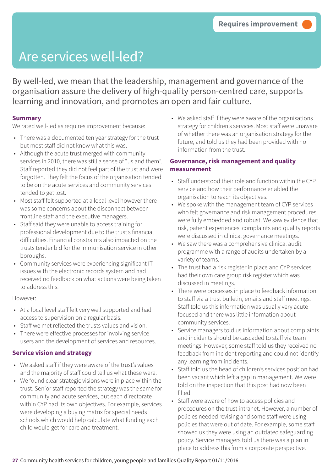## Are services well-led?

By well-led, we mean that the leadership, management and governance of the organisation assure the delivery of high-quality person-centred care, supports learning and innovation, and promotes an open and fair culture.

### **Summary**

We rated well-led as requires improvement because:

- There was a documented ten year strategy for the trust but most staff did not know what this was.
- Although the acute trust merged with community services in 2010, there was still a sense of "us and them". Staff reported they did not feel part of the trust and were forgotten. They felt the focus of the organisation tended to be on the acute services and community services tended to get lost.
- Most staff felt supported at a local level however there was some concerns about the disconnect between frontline staff and the executive managers.
- Staff said they were unable to access training for professional development due to the trust's financial difficulties. Financial constraints also impacted on the trusts tender bid for the immunisation service in other boroughs.
- Community services were experiencing significant IT issues with the electronic records system and had received no feedback on what actions were being taken to address this.

#### However:

- At a local level staff felt very well supported and had access to supervision on a regular basis.
- Staff we met reflected the trusts values and vision.
- There were effective processes for involving service users and the development of services and resources.

### **Service vision and strategy**

- We asked staff if they were aware of the trust's values and the majority of staff could tell us what these were.
- We found clear strategic visions were in place within the trust. Senior staff reported the strategy was the same for community and acute services, but each directorate within CYP had its own objectives. For example, services were developing a buying matrix for special needs schools which would help calculate what funding each child would get for care and treatment.

• We asked staff if they were aware of the organisations strategy for children's services. Most staff were unaware of whether there was an organisation strategy for the future, and told us they had been provided with no information from the trust.

### **Governance, risk management and quality measurement**

- Staff understood their role and function within the CYP service and how their performance enabled the organisation to reach its objectives.
- We spoke with the management team of CYP services who felt governance and risk management procedures were fully embedded and robust. We saw evidence that risk, patient experiences, complaints and quality reports were discussed in clinical governance meetings.
- We saw there was a comprehensive clinical audit programme with a range of audits undertaken by a variety of teams.
- The trust had a risk register in place and CYP services had their own care group risk register which was discussed in meetings.
- There were processes in place to feedback information to staff via a trust bulletin, emails and staff meetings. Staff told us this information was usually very acute focused and there was little information about community services.
- Service managers told us information about complaints and incidents should be cascaded to staff via team meetings. However, some staff told us they received no feedback from incident reporting and could not identify any learning from incidents.
- Staff told us the head of children's services position had been vacant which left a gap in management. We were told on the inspection that this post had now been filled.
- Staff were aware of how to access policies and procedures on the trust intranet. However, a number of policies needed revising and some staff were using policies that were out of date. For example, some staff showed us they were using an outdated safeguarding policy. Service managers told us there was a plan in place to address this from a corporate perspective.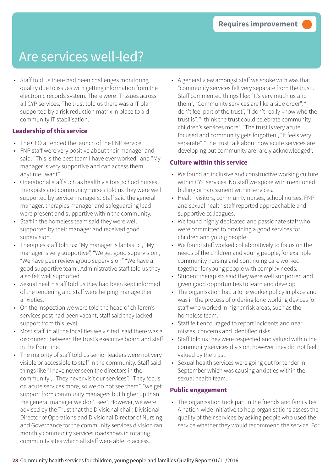### Are services well-led?

• Staff told us there had been challenges monitoring quality due to issues with getting information from the electronic records system. There were IT issues across all CYP services. The trust told us there was a IT plan supported by a risk reduction matrix in place to aid community IT stabilisation.

### **Leadership of this service**

- The CEO attended the launch of the FNP service.
- FNP staff were very positive about their manager and said: "This is the best team I have ever worked" and "My manager is very supportive and can access them anytime I want".
- Operational staff such as health visitors, school nurses, therapists and community nurses told us they were well supported by service managers. Staff said the general manager, therapies manager and safeguarding lead were present and supportive within the community.
- Staff in the homeless team said they were well supported by their manager and received good supervision.
- Therapies staff told us: "My manager is fantastic", "My manager is very supportive", "We get good supervision", "We have peer review group supervision" "We have a good supportive team". Administrative staff told us they also felt well supported.
- Sexual health staff told us they had been kept informed of the tendering and staff were helping manage their anxieties.
- On the inspection we were told the head of children's services post had been vacant, staff said they lacked support from this level.
- Most staff, in all the localities we visited, said there was a disconnect between the trust's executive board and staff in the front line.
- The majority of staff told us senior leaders were not very visible or accessible to staff in the community. Staff said things like "I have never seen the directors in the community", "They never visit our services", "They focus on acute services more, so we do not see them", "we get support from community managers but higher up than the general manager we don't see". However, we were advised by the Trust that the Divisional chair, Divisional Director of Operations and Divisional Director of Nursing and Governance for the community services division ran monthly community services roadshows in rotating community sites which all staff were able to access.

• A general view amongst staff we spoke with was that "community services felt very separate from the trust". Staff commented things like: "It's very much us and them", "Community services are like a side order", "I don't feel part of the trust", "I don't really know who the trust is", "I think the trust could celebrate community children's services more", "The trust is very acute focused and community gets forgotten", "It feels very separate", "The trust talk about how acute services are developing but community are rarely acknowledged".

### **Culture within this service**

- We found an inclusive and constructive working culture within CYP services. No staff we spoke with mentioned bulling or harassment within services.
- Health visitors, community nurses, school nurses, FNP and sexual health staff reported approachable and supportive colleagues.
- We found highly dedicated and passionate staff who were committed to providing a good services for children and young people.
- We found staff worked collaboratively to focus on the needs of the children and young people, for example community nursing and continuing care worked together for young people with complex needs.
- Student therapists said they were well supported and given good opportunities to learn and develop.
- The organisation had a lone worker policy in place and was in the process of ordering lone working devices for staff who worked in higher risk areas, such as the homeless team.
- Staff felt encouraged to report incidents and near misses, concerns and identified risks.
- Staff told us they were respected and valued within the community services division, however they did not feel valued by the trust.
- Sexual health services were going out for tender in September which was causing anxieties within the sexual health team.

#### **Public engagement**

• The organisation took part in the friends and family test. A nation-wide initiative to help organisations assess the quality of their services by asking people who used the service whether they would recommend the service. For